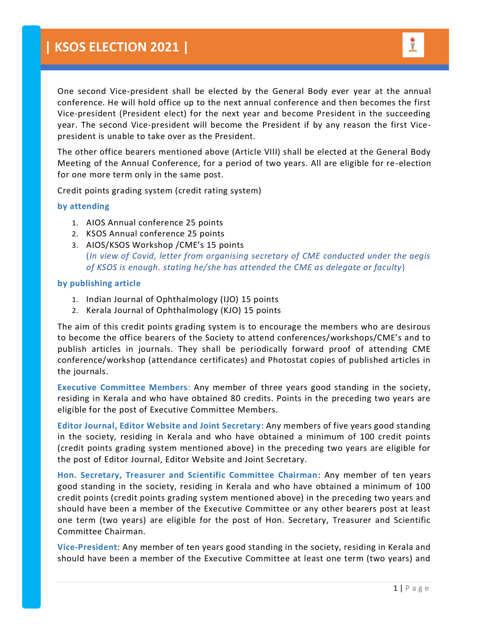One second Vice-president shall be elected by the General Body ever year at the annual conference. He will hold office up to the next annual conference and then becomes the first Vice-president (President elect) for the next year and become President in the succeeding year. The second Vice-president will become the President if by any reason the first Vicepresident is unable to take over as the President.

The other office bearers mentioned above (Article VIII) shall be elected at the General Body Meeting of the Annual Conference, for a period of two years. All are eligible for re-election for one more term only in the same post.

Credit points grading system (credit rating system)

## **by attending**

- 1. AIOS Annual conference 25 points
- 2. KSOS Annual conference 25 points
- 3. AIOS/KSOS Workshop /CME's 15 points (*In view of Covid, letter from organising secretary of CME conducted under the aegis of KSOS is enough. stating he/she has attended the CME as delegate or faculty*)

## **by publishing article**

- 1. Indian Journal of Ophthalmology (IJO) 15 points
- 2. Kerala Journal of Ophthalmology (KJO) 15 points

The aim of this credit points grading system is to encourage the members who are desirous to become the office bearers of the Society to attend conferences/workshops/CME's and to publish articles in journals. They shall be periodically forward proof of attending CME conference/workshop (attendance certificates) and Photostat copies of published articles in the journals.

**Executive Committee Members**: Any member of three years good standing in the society, residing in Kerala and who have obtained 80 credits. Points in the preceding two years are eligible for the post of Executive Committee Members.

**Editor Journal, Editor Website and Joint Secretary**: Any members of five years good standing in the society, residing in Kerala and who have obtained a minimum of 100 credit points (credit points grading system mentioned above) in the preceding two years are eligible for the post of Editor Journal, Editor Website and Joint Secretary.

**Hon. Secretary, Treasurer and Scientific Committee Chairman**: Any member of ten years good standing in the society, residing in Kerala and who have obtained a minimum of 100 credit points (credit points grading system mentioned above) in the preceding two years and should have been a member of the Executive Committee or any other bearers post at least one term (two years) are eligible for the post of Hon. Secretary, Treasurer and Scientific Committee Chairman.

**Vice-President**: Any member of ten years good standing in the society, residing in Kerala and should have been a member of the Executive Committee at least one term (two years) and

**SOO**